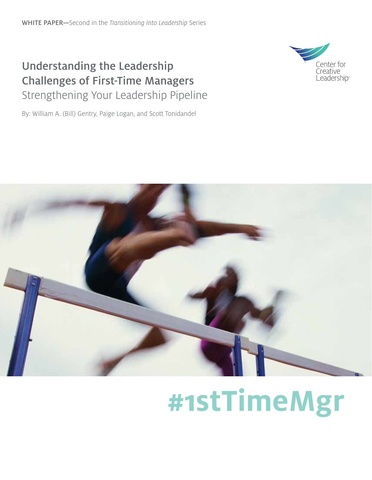## Understanding the Leadership Challenges of First-Time Managers Strengthening Your Leadership Pipeline

By: William A. (Bill) Gentry, Paige Logan, and Scott Tonidandel





# **#1stTimeMgr**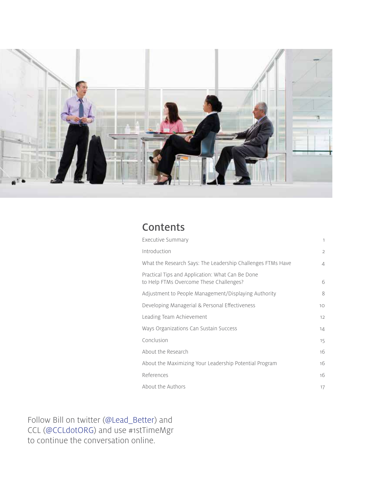

## **Contents**

| Executive Summary                                                                           | 1              |
|---------------------------------------------------------------------------------------------|----------------|
| Introduction                                                                                | $\overline{2}$ |
| What the Research Says: The Leadership Challenges FTMs Have                                 | $\overline{4}$ |
| Practical Tips and Application: What Can Be Done<br>to Help FTMs Overcome These Challenges? | 6              |
| Adjustment to People Management/Displaying Authority                                        | 8              |
| Developing Managerial & Personal Effectiveness                                              | 10             |
| Leading Team Achievement                                                                    | 12             |
| Ways Organizations Can Sustain Success                                                      | 14             |
| Conclusion                                                                                  | 15             |
| About the Research                                                                          | 16             |
| About the Maximizing Your Leadership Potential Program                                      | 16             |
| References                                                                                  | 16             |
| About the Authors                                                                           | 17             |

Follow Bill on twitter [\(@Lead\\_Better](https://twitter.com/search?q=william%20a%20gentry&src=typd)) and CCL [\(@CCLdotORG](https://twitter.com/CCLdotORG)) and use [#1stTimeMgr](https://twitter.com/search?q=%231stTimeMgr&src=typd)  to continue the conversation online.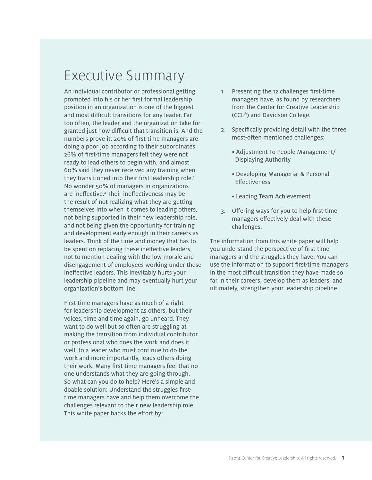## Executive Summary

An individual contributor or professional getting promoted into his or her first formal leadership position in an organization is one of the biggest and most difficult transitions for any leader. Far too often, the leader and the organization take for granted just how difficult that transition is. And the numbers prove it: 20% of first-time managers are doing a poor job according to their subordinates, 26% of first-time managers felt they were not ready to lead others to begin with, and almost 60% said they never received any training when they transitioned into their first leadership role.<sup>1</sup> No wonder 50% of managers in organizations are ineffective.<sup>2</sup> Their ineffectiveness may be the result of not realizing what they are getting themselves into when it comes to leading others, not being supported in their new leadership role, and not being given the opportunity for training and development early enough in their careers as leaders. Think of the time and money that has to be spent on replacing these ineffective leaders, not to mention dealing with the low morale and disengagement of employees working under these ineffective leaders. This inevitably hurts your leadership pipeline and may eventually hurt your organization's bottom line.

First-time managers have as much of a right for leadership development as others, but their voices, time and time again, go unheard. They want to do well but so often are struggling at making the transition from individual contributor or professional who does the work and does it well, to a leader who must continue to do the work and more importantly, leads others doing their work. Many first-time managers feel that no one understands what they are going through. So what can you do to help? Here's a simple and doable solution: Understand the struggles firsttime managers have and help them overcome the challenges relevant to their new leadership role. This white paper backs the effort by:

- 1. Presenting the 12 challenges first-time managers have, as found by researchers from the Center for Creative Leadership (CCL®) and Davidson College.
- 2. Specifically providing detail with the three most-often mentioned challenges:
	- Adjustment To People Management/ Displaying Authority
	- Developing Managerial & Personal Effectiveness
	- Leading Team Achievement
- 3. Offering ways for you to help first-time managers effectively deal with these challenges.

The information from this white paper will help you understand the perspective of first-time managers and the struggles they have. You can use the information to support first-time managers in the most difficult transition they have made so far in their careers, develop them as leaders, and ultimately, strengthen your leadership pipeline.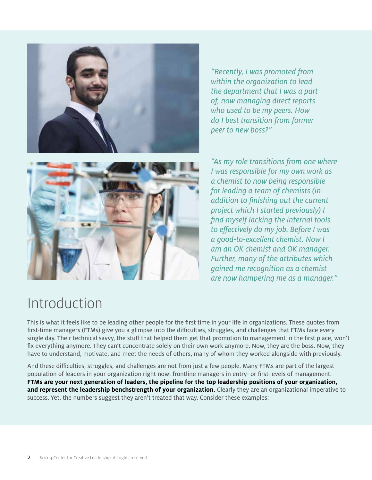

*"Recently, I was promoted from within the organization to lead the department that I was a part of, now managing direct reports who used to be my peers. How do I best transition from former peer to new boss?"*



*"As my role transitions from one where I was responsible for my own work as a chemist to now being responsible for leading a team of chemists (in addition to finishing out the current project which I started previously) I find myself lacking the internal tools to effectively do my job. Before I was a good-to-excellent chemist. Now I am an OK chemist and OK manager. Further, many of the attributes which gained me recognition as a chemist are now hampering me as a manager."* 

## Introduction

This is what it feels like to be leading other people for the first time in your life in organizations. These quotes from first-time managers (FTMs) give you a glimpse into the difficulties, struggles, and challenges that FTMs face every single day. Their technical savvy, the stuff that helped them get that promotion to management in the first place, won't fix everything anymore. They can't concentrate solely on their own work anymore. Now, they are the boss. Now, they have to understand, motivate, and meet the needs of others, many of whom they worked alongside with previously.

And these difficulties, struggles, and challenges are not from just a few people. Many FTMs are part of the largest population of leaders in your organization right now: frontline managers in entry- or first-levels of management. **FTMs are your next generation of leaders, the pipeline for the top leadership positions of your organization, and represent the leadership benchstrength of your organization.** Clearly they are an organizational imperative to success. Yet, the numbers suggest they aren't treated that way. Consider these examples: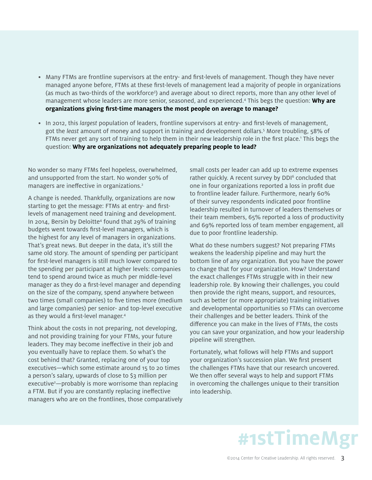- Many FTMs are frontline supervisors at the entry- and first-levels of management. Though they have never managed anyone before, FTMs at these first-levels of management lead a majority of people in organizations (as much as two-thirds of the workforce<sup>3</sup>) and average about 10 direct reports, more than any other level of management whose leaders are more senior, seasoned, and experienced.4 This begs the question: **Why are organizations giving first-time managers the most people on average to manage?**
- In 2012, this *largest* population of leaders, frontline supervisors at entry- and first-levels of management, got the *least* amount of money and support in training and development dollars.5 More troubling, 58% of FTMs never get any sort of training to help them in their new leadership role in the first place.<sup>1</sup> This begs the question: **Why are organizations not adequately preparing people to lead?**

No wonder so many FTMs feel hopeless, overwhelmed, and unsupported from the start. No wonder 50% of managers are ineffective in organizations.<sup>2</sup>

A change is needed. Thankfully, organizations are now starting to get the message: FTMs at entry- and firstlevels of management need training and development. In 2014, Bersin by Deloitte<sup>4</sup> found that 29% of training budgets went towards first-level managers, which is the highest for any level of managers in organizations. That's great news. But deeper in the data, it's still the same old story. The amount of spending per participant for first-level managers is still much lower compared to the spending per participant at higher levels: companies tend to spend around twice as much per middle-level manager as they do a first-level manager and depending on the size of the company, spend anywhere between two times (small companies) to five times more (medium and large companies) per senior- and top-level executive as they would a first-level manager.4

Think about the costs in not preparing, not developing, and not providing training for your FTMs, your future leaders. They may become ineffective in their job and you eventually have to replace them. So what's the cost behind that? Granted, replacing one of your top executives—which some estimate around 15 to 20 times a person's salary, upwards of close to \$3 million per executive<sup>2</sup>—probably is more worrisome than replacing a FTM. But if you are constantly replacing ineffective managers who are on the frontlines, those comparatively small costs per leader can add up to extreme expenses rather quickly. A recent survey by DDI<sup>6</sup> concluded that one in four organizations reported a loss in profit due to frontline leader failure. Furthermore, nearly 60% of their survey respondents indicated poor frontline leadership resulted in turnover of leaders themselves or their team members, 65% reported a loss of productivity and 69% reported loss of team member engagement, all due to poor frontline leadership.

What do these numbers suggest? Not preparing FTMs weakens the leadership pipeline and may hurt the bottom line of any organization. But you have the power to change that for your organization. How? Understand the exact challenges FTMs struggle with in their new leadership role. By knowing their challenges, you could then provide the right means, support, and resources, such as better (or more appropriate) training initiatives and developmental opportunities so FTMs can overcome their challenges and be better leaders. Think of the difference you can make in the lives of FTMs, the costs you can save your organization, and how your leadership pipeline will strengthen.

Fortunately, what follows will help FTMs and support your organization's succession plan. We first present the challenges FTMs have that our research uncovered. We then offer several ways to help and support FTMs in overcoming the challenges unique to their transition into leadership.

# **#1stTimeMgr**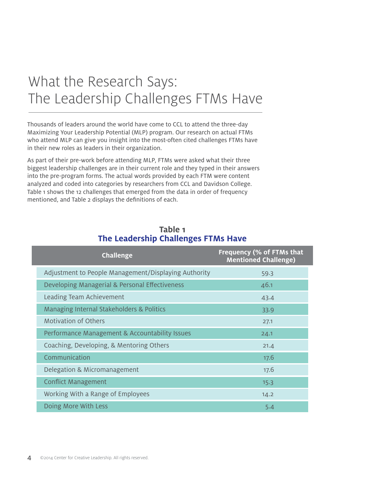## What the Research Says: The Leadership Challenges FTMs Have

Thousands of leaders around the world have come to CCL to attend the three-day Maximizing Your Leadership Potential (MLP) program. Our research on actual FTMs who attend MLP can give you insight into the most-often cited challenges FTMs have in their new roles as leaders in their organization.

As part of their pre-work before attending MLP, FTMs were asked what their three biggest leadership challenges are in their current role and they typed in their answers into the pre-program forms. The actual words provided by each FTM were content analyzed and coded into categories by researchers from CCL and Davidson College. Table 1 shows the 12 challenges that emerged from the data in order of frequency mentioned, and Table 2 displays the definitions of each.

| <b>Challenge</b>                                     | Frequency (% of FTMs that<br><b>Mentioned Challenge)</b> |
|------------------------------------------------------|----------------------------------------------------------|
| Adjustment to People Management/Displaying Authority | 59.3                                                     |
| Developing Managerial & Personal Effectiveness       | 46.1                                                     |
| Leading Team Achievement                             | 43.4                                                     |
| Managing Internal Stakeholders & Politics            | 33.9                                                     |
| <b>Motivation of Others</b>                          | 27.1                                                     |
| Performance Management & Accountability Issues       | 24.1                                                     |
| Coaching, Developing, & Mentoring Others             | 21.4                                                     |
| Communication                                        | 17.6                                                     |
| Delegation & Micromanagement                         | 17.6                                                     |
| <b>Conflict Management</b>                           | 15.3                                                     |
| Working With a Range of Employees                    | 14.2                                                     |
| Doing More With Less                                 | 5.4                                                      |

#### **The Leadership Challenges FTMs Have Table 1**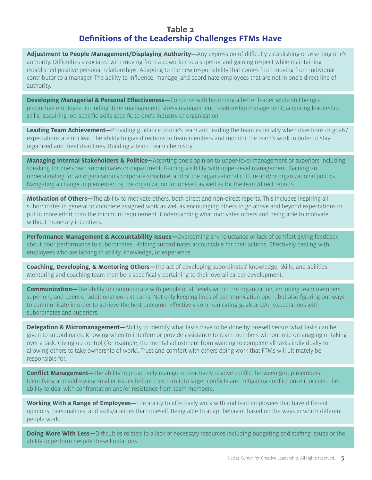#### **Definitions of the Leadership Challenges FTMs Have Table 2**

**Adjustment to People Management/Displaying Authority—**Any expression of difficulty establishing or asserting one's authority. Difficulties associated with moving from a coworker to a superior and gaining respect while maintaining established positive personal relationships. Adapting to the new responsibility that comes from moving from individual contributor to a manager. The ability to influence, manage, and coordinate employees that are not in one's direct line of authority.

**Developing Managerial & Personal Effectiveness—**Concerns with becoming a better leader while still being a productive employee, including: time management; stress management; relationship management; acquiring leadership skills; acquiring job-specific skills specific to one's industry or organization.

**Leading Team Achievement—**Providing guidance to one's team and leading the team especially when directions or goals/ expectations are unclear. The ability to give directions to team members and monitor the team's work in order to stay organized and meet deadlines. Building a team. Team chemistry.

**Managing Internal Stakeholders & Politics—**Asserting one's opinion to upper-level management or superiors including speaking for one's own subordinates or department. Gaining visibility with upper-level management. Gaining an understanding for an organization's corporate structure, and of the organizational culture and/or organizational politics. Navigating a change implemented by the organization for oneself as well as for the team/direct reports.

**Motivation of Others—**The ability to motivate others, both direct and non-direct reports. This includes inspiring all subordinates in general to complete assigned work as well as encouraging others to go above and beyond expectations or put in more effort than the minimum requirement. Understanding what motivates others and being able to motivate without monetary incentives.

**Performance Management & Accountability Issues—**Overcoming any reluctance or lack of comfort giving feedback about poor performance to subordinates. Holding subordinates accountable for their actions. Effectively dealing with employees who are lacking in ability, knowledge, or experience.

**Coaching, Developing, & Mentoring Others—**The act of developing subordinates' knowledge, skills, and abilities. Mentoring and coaching team members specifically pertaining to their overall career development.

**Communication—**The ability to communicate with people of all levels within the organization, including team members, superiors, and peers or additional work streams. Not only keeping lines of communication open, but also figuring out ways to communicate in order to achieve the best outcome. Effectively communicating goals and/or expectations with subordinates and superiors.

**Delegation & Micromanagement—**Ability to identify what tasks have to be done by oneself versus what tasks can be given to subordinates. Knowing when to interfere or provide assistance to team members without micromanaging or taking over a task. Giving up control (for example, the mental adjustment from wanting to complete all tasks individually to allowing others to take ownership of work). Trust and comfort with others doing work that FTMs will ultimately be responsible for.

**Conflict Management—**The ability to proactively manage or reactively resolve conflict between group members. Identifying and addressing smaller issues before they turn into larger conflicts and mitigating conflict once it occurs. The ability to deal with confrontation and/or resistance from team members.

**Working With a Range of Employees—**The ability to effectively work with and lead employees that have different opinions, personalities, and skills/abilities than oneself. Being able to adapt behavior based on the ways in which different people work.

**Doing More With Less—**Difficulties related to a lack of necessary resources including budgeting and staffing issues or the ability to perform despite these limitations.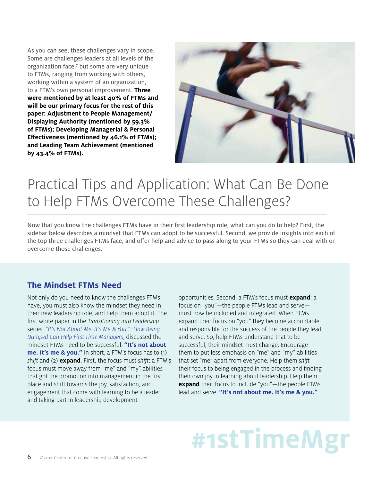As you can see, these challenges vary in scope. Some are challenges leaders at all levels of the organization face,7 but some are very unique to FTMs, ranging from working with others, working within a system of an organization, to a FTM's own personal improvement. **Three were mentioned by at least 40% of FTMs and will be our primary focus for the rest of this paper: Adjustment to People Management/ Displaying Authority (mentioned by 59.3% of FTMs); Developing Managerial & Personal Effectiveness (mentioned by 46.1% of FTMs); and Leading Team Achievement (mentioned by 43.4% of FTMs).**



# Practical Tips and Application: What Can Be Done to Help FTMs Overcome These Challenges?

Now that you know the challenges FTMs have in their first leadership role, what can you do to help? First, the sidebar below describes a mindset that FTMs can adopt to be successful. Second, we provide insights into each of the top three challenges FTMs face, and offer help and advice to pass along to your FTMs so they can deal with or overcome those challenges.

### **The Mindset FTMs Need**

Not only do you need to know the challenges FTMs have, you must also know the mindset they need in their new leadership role, and help them adopt it. The first white paper in the *Transitioning into Leadership*  series, *["It's Not About Me. It's Me](http://www.ccl.org/leadership/pdf/research/NotAboutMe.pdf)* & *You.": How Being [Dumped Can Help First-Time Managers](http://www.ccl.org/leadership/pdf/research/NotAboutMe.pdf)*, discussed the mindset FTMs need to be successful: **"It's not about me. It's me & you."** In short, a FTM's focus has to (1) *shift* and (2) **expand**. First, the focus must *shift*: a FTM's focus must move away from "me" and "my" abilities that got the promotion into management in the first place and shift towards the joy, satisfaction, and engagement that come with learning to be a leader and taking part in leadership development

opportunities. Second, a FTM's focus must **expand**: a focus on "you"—the people FTMs lead and serve must now be included and integrated. When FTMs expand their focus on "you" they become accountable and responsible for the success of the people they lead and serve. So, help FTMs understand that to be successful, their mindset must change. Encourage them to put less emphasis on "me" and "my" abilities that set "me" apart from everyone. Help them *shift*  their focus to being engaged in the process and finding their own joy in learning about leadership. Help them **expand** their focus to include "you"—the people FTMs lead and serve. **"It's not about me. It's me & you."**

# **#1stTimeMgr**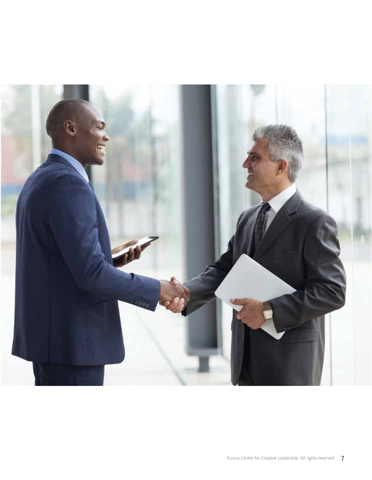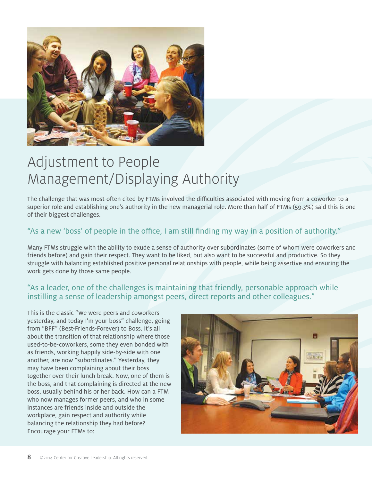

# Adjustment to People Management/Displaying Authority

The challenge that was most-often cited by FTMs involved the difficulties associated with moving from a coworker to a superior role and establishing one's authority in the new managerial role. More than half of FTMs (59.3%) said this is one of their biggest challenges.

### "As a new 'boss' of people in the office, I am still finding my way in a position of authority."

Many FTMs struggle with the ability to exude a sense of authority over subordinates (some of whom were coworkers and friends before) and gain their respect. They want to be liked, but also want to be successful and productive. So they struggle with balancing established positive personal relationships with people, while being assertive and ensuring the work gets done by those same people.

#### "As a leader, one of the challenges is maintaining that friendly, personable approach while instilling a sense of leadership amongst peers, direct reports and other colleagues."

This is the classic "We were peers and coworkers yesterday, and today I'm your boss" challenge, going from "BFF" (Best-Friends-Forever) to Boss. It's all about the transition of that relationship where those used-to-be-coworkers, some they even bonded with as friends, working happily side-by-side with one another, are now "subordinates." Yesterday, they may have been complaining about their boss together over their lunch break. Now, one of them is the boss, and that complaining is directed at the new boss, usually behind his or her back. How can a FTM who now manages former peers, and who in some instances are friends inside and outside the workplace, gain respect and authority while balancing the relationship they had before? Encourage your FTMs to:

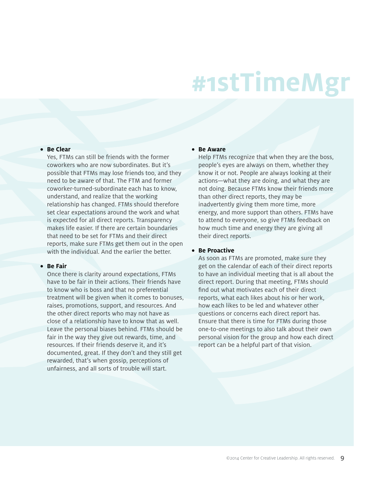# **#1stTimeMgr**

#### **• Be Clear**

Yes, FTMs can still be friends with the former coworkers who are now subordinates. But it's possible that FTMs may lose friends too, and they need to be aware of that. The FTM and former coworker-turned-subordinate each has to know, understand, and realize that the working relationship has changed. FTMs should therefore set clear expectations around the work and what is expected for all direct reports. Transparency makes life easier. If there are certain boundaries that need to be set for FTMs and their direct reports, make sure FTMs get them out in the open with the individual. And the earlier the better.

#### **• Be Fair**

Once there is clarity around expectations, FTMs have to be fair in their actions. Their friends have to know who is boss and that no preferential treatment will be given when it comes to bonuses, raises, promotions, support, and resources. And the other direct reports who may not have as close of a relationship have to know that as well. Leave the personal biases behind. FTMs should be fair in the way they give out rewards, time, and resources. If their friends deserve it, and it's documented, great. If they don't and they still get rewarded, that's when gossip, perceptions of unfairness, and all sorts of trouble will start.

#### **• Be Aware**

Help FTMs recognize that when they are the boss, people's eyes are always on them, whether they know it or not. People are always looking at their actions—what they are doing, and what they are not doing. Because FTMs know their friends more than other direct reports, they may be inadvertently giving them more time, more energy, and more support than others. FTMs have to attend to everyone, so give FTMs feedback on how much time and energy they are giving all their direct reports.

#### **• Be Proactive**

As soon as FTMs are promoted, make sure they get on the calendar of each of their direct reports to have an individual meeting that is all about the direct report. During that meeting, FTMs should find out what motivates each of their direct reports, what each likes about his or her work, how each likes to be led and whatever other questions or concerns each direct report has. Ensure that there is time for FTMs during those one-to-one meetings to also talk about their own personal vision for the group and how each direct report can be a helpful part of that vision.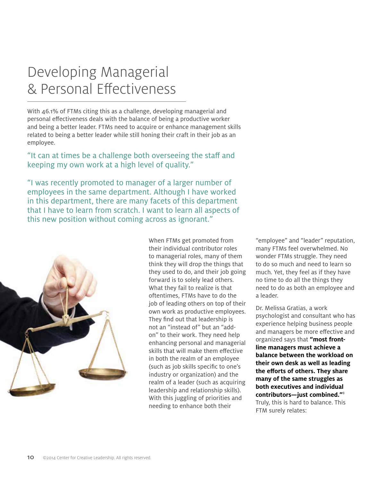## Developing Managerial & Personal Effectiveness

With 46.1% of FTMs citing this as a challenge, developing managerial and personal effectiveness deals with the balance of being a productive worker and being a better leader. FTMs need to acquire or enhance management skills related to being a better leader while still honing their craft in their job as an employee.

"It can at times be a challenge both overseeing the staff and keeping my own work at a high level of quality."

"I was recently promoted to manager of a larger number of employees in the same department. Although I have worked in this department, there are many facets of this department that I have to learn from scratch. I want to learn all aspects of this new position without coming across as ignorant."



When FTMs get promoted from their individual contributor roles to managerial roles, many of them think they will drop the things that they used to do, and their job going forward is to solely lead others. What they fail to realize is that oftentimes, FTMs have to do the job of leading others on top of their own work as productive employees. They find out that leadership is not an "instead of" but an "addon" to their work. They need help enhancing personal and managerial skills that will make them effective in both the realm of an employee (such as job skills specific to one's industry or organization) and the realm of a leader (such as acquiring leadership and relationship skills). With this juggling of priorities and needing to enhance both their

"employee" and "leader" reputation, many FTMs feel overwhelmed. No wonder FTMs struggle. They need to do so much and need to learn so much. Yet, they feel as if they have no time to do all the things they need to do as both an employee and a leader.

Dr. Melissa Gratias, a work psychologist and consultant who has experience helping business people and managers be more effective and organized says that **"most frontline managers must achieve a balance between the workload on their own desk as well as leading the efforts of others. They share many of the same struggles as both executives and individual contributors—just combined."**<sup>8</sup> Truly, this is hard to balance. This FTM surely relates: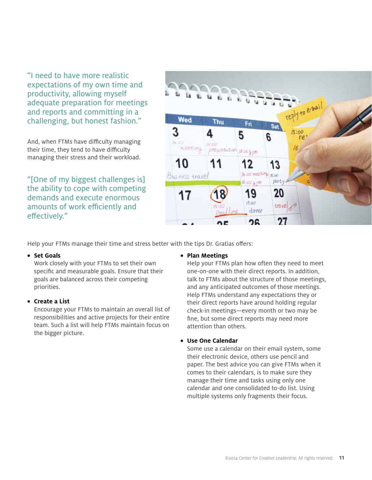"I need to have more realistic expectations of my own time and productivity, allowing myself adequate preparation for meetings and reports and committing in a challenging, but honest fashion."

And, when FTMs have difficulty managing their time, they tend to have difficulty managing their stress and their workload.

"[One of my biggest challenges is] the ability to cope with competing demands and execute enormous amounts of work efficiently and effectively."



Help your FTMs manage their time and stress better with the tips Dr. Gratias offers:

#### **• Set Goals**

Work closely with your FTMs to set their own specific and measurable goals. Ensure that their goals are balanced across their competing priorities.

#### **• Create a List**

Encourage your FTMs to maintain an overall list of responsibilities and active projects for their entire team. Such a list will help FTMs maintain focus on the bigger picture.

#### **• Plan Meetings**

Help your FTMs plan how often they need to meet one-on-one with their direct reports. In addition, talk to FTMs about the structure of those meetings, and any anticipated outcomes of those meetings. Help FTMs understand any expectations they or their direct reports have around holding regular check-in meetings—every month or two may be fine, but some direct reports may need more attention than others.

#### **• Use One Calendar**

Some use a calendar on their email system, some their electronic device, others use pencil and paper. The best advice you can give FTMs when it comes to their calendars, is to make sure they manage their time and tasks using only one calendar and one consolidated to-do list. Using multiple systems only fragments their focus.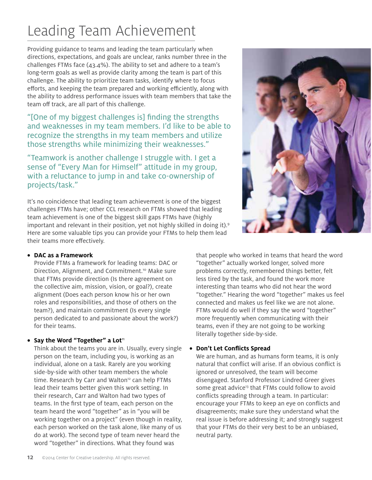# Leading Team Achievement

Providing guidance to teams and leading the team particularly when directions, expectations, and goals are unclear, ranks number three in the challenges FTMs face (43.4%). The ability to set and adhere to a team's long-term goals as well as provide clarity among the team is part of this challenge. The ability to prioritize team tasks, identify where to focus efforts, and keeping the team prepared and working efficiently, along with the ability to address performance issues with team members that take the team off track, are all part of this challenge.

"[One of my biggest challenges is] finding the strengths and weaknesses in my team members. I'd like to be able to recognize the strengths in my team members and utilize those strengths while minimizing their weaknesses."

"Teamwork is another challenge I struggle with. I get a sense of "Every Man for Himself" attitude in my group, with a reluctance to jump in and take co-ownership of projects/task."

It's no coincidence that leading team achievement is one of the biggest challenges FTMs have; other CCL research on FTMs showed that leading team achievement is one of the biggest skill gaps FTMs have (highly important and relevant in their position, yet not highly skilled in doing it).9 Here are some valuable tips you can provide your FTMs to help them lead their teams more effectively.



#### **• DAC as a Framework**

Provide FTMs a framework for leading teams: DAC or Direction, Alignment, and Commitment.<sup>10</sup> Make sure that FTMs provide direction (Is there agreement on the collective aim, mission, vision, or goal?), create alignment (Does each person know his or her own roles and responsibilities, and those of others on the team?), and maintain commitment (Is every single person dedicated to and passionate about the work?) for their teams.

#### **•** Say the Word "Together" a Lot<sup>11</sup>

Think about the teams you are in. Usually, every single person on the team, including you, is working as an individual, alone on a task. Rarely are you working side-by-side with other team members the whole time. Research by Carr and Walton<sup>12</sup> can help FTMs lead their teams better given this work setting. In their research, Carr and Walton had two types of teams. In the first type of team, each person on the team heard the word "together" as in "you will be working together on a project" (even though in reality, each person worked on the task alone, like many of us do at work). The second type of team never heard the word "together" in directions. What they found was

that people who worked in teams that heard the word "together" actually worked longer, solved more problems correctly, remembered things better, felt less tired by the task, and found the work more interesting than teams who did not hear the word "together." Hearing the word "together" makes us feel connected and makes us feel like we are not alone. FTMs would do well if they say the word "together" more frequently when communicating with their teams, even if they are not going to be working literally together side-by-side.

#### **• Don't Let Conflicts Spread**

We are human, and as humans form teams, it is only natural that conflict will arise. If an obvious conflict is ignored or unresolved, the team will become disengaged. Stanford Professor Lindred Greer gives some great advice<sup>13</sup> that FTMs could follow to avoid conflicts spreading through a team. In particular: encourage your FTMs to keep an eye on conflicts and disagreements; make sure they understand what the real issue is before addressing it; and strongly suggest that your FTMs do their very best to be an unbiased, neutral party.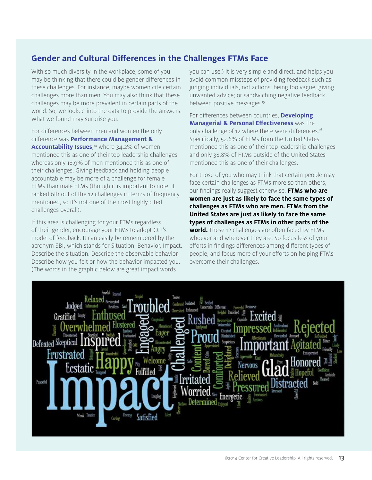### **Gender and Cultural Differences in the Challenges FTMs Face**

With so much diversity in the workplace, some of you may be thinking that there could be gender differences in these challenges. For instance, maybe women cite certain challenges more than men. You may also think that these challenges may be more prevalent in certain parts of the world. So, we looked into the data to provide the answers. What we found may surprise you.

For differences between men and women the only difference was **Performance Management & Accountability Issues**, 14 where 34.2% of women mentioned this as one of their top leadership challenges whereas only 18.9% of men mentioned this as one of their challenges. Giving feedback and holding people accountable may be more of a challenge for female FTMs than male FTMs (though it is important to note, it ranked 6th out of the 12 challenges in terms of frequency mentioned, so it's not one of the most highly cited challenges overall).

If this area is challenging for your FTMs regardless of their gender, encourage your FTMs to adopt CCL's model of feedback. It can easily be remembered by the acronym SBI, which stands for Situation, Behavior, Impact. Describe the situation. Describe the observable behavior. Describe how you felt or how the behavior impacted you. (The words in the graphic below are great impact words

you can use.) It is very simple and direct, and helps you avoid common missteps of providing feedback such as: judging individuals, not actions; being too vague; giving unwanted advice; or sandwiching negative feedback between positive messages.<sup>15</sup>

For differences between countries, **Developing Managerial & Personal Effectiveness** was the only challenge of 12 where there were differences.<sup>16</sup> Specifically, 52.6% of FTMs from the United States mentioned this as one of their top leadership challenges and only 38.8% of FTMs outside of the United States mentioned this as one of their challenges.

For those of you who may think that certain people may face certain challenges as FTMs more so than others, our findings really suggest otherwise. **FTMs who are women are just as likely to face the same types of challenges as FTMs who are men. FTMs from the United States are just as likely to face the same types of challenges as FTMs in other parts of the world.** These 12 challenges are often faced by FTMs whoever and wherever they are. So focus less of your efforts in findings differences among different types of people, and focus more of your efforts on helping FTMs overcome their challenges.

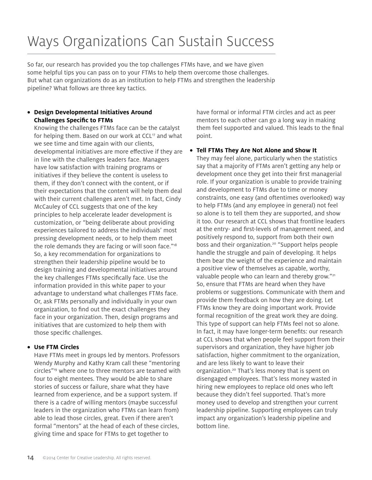# Ways Organizations Can Sustain Success

So far, our research has provided you the top challenges FTMs have, and we have given some helpful tips you can pass on to your FTMs to help them overcome those challenges. But what can organizations do as an institution to help FTMs and strengthen the leadership pipeline? What follows are three key tactics.

#### **• Design Developmental Initiatives Around Challenges Specific to FTMs**

Knowing the challenges FTMs face can be the catalyst for helping them. Based on our work at CCL<sup>17</sup> and what we see time and time again with our clients, developmental initiatives are more effective if they are in line with the challenges leaders face. Managers have low satisfaction with training programs or initiatives if they believe the content is useless to them, if they don't connect with the content, or if their expectations that the content will help them deal with their current challenges aren't met. In fact, Cindy McCauley of CCL suggests that one of the key principles to help accelerate leader development is customization, or "being deliberate about providing experiences tailored to address the individuals' most pressing development needs, or to help them meet the role demands they are facing or will soon face."<sup>18</sup> So, a key recommendation for organizations to strengthen their leadership pipeline would be to design training and developmental initiatives around the key challenges FTMs specifically face. Use the information provided in this white paper to your advantage to understand what challenges FTMs face. Or, ask FTMs personally and individually in your own organization, to find out the exact challenges they face in your organization. Then, design programs and initiatives that are customized to help them with those specific challenges.

#### **• Use FTM Circles**

Have FTMs meet in groups led by mentors. Professors Wendy Murphy and Kathy Kram call these "mentoring circles"19 where one to three mentors are teamed with four to eight mentees. They would be able to share stories of success or failure, share what they have learned from experience, and be a support system. If there is a cadre of willing mentors (maybe successful leaders in the organization who FTMs can learn from) able to lead those circles, great. Even if there aren't formal "mentors" at the head of each of these circles, giving time and space for FTMs to get together to

have formal or informal FTM circles and act as peer mentors to each other can go a long way in making them feel supported and valued. This leads to the final point.

#### **• Tell FTMs They Are Not Alone and Show It**

They may feel alone, particularly when the statistics say that a majority of FTMs aren't getting any help or development once they get into their first managerial role. If your organization is unable to provide training and development to FTMs due to time or money constraints, one easy (and oftentimes overlooked) way to help FTMs (and any employee in general) not feel so alone is to tell them they are supported, and show it too. Our research at CCL shows that frontline leaders at the entry- and first-levels of management need, and positively respond to, support from both their own boss and their organization.<sup>20</sup> "Support helps people handle the struggle and pain of developing. It helps them bear the weight of the experience and maintain a positive view of themselves as capable, worthy, valuable people who can learn and thereby grow."<sup>21</sup> So, ensure that FTMs are heard when they have problems or suggestions. Communicate with them and provide them feedback on how they are doing. Let FTMs know they are doing important work. Provide formal recognition of the great work they are doing. This type of support can help FTMs feel not so alone. In fact, it may have longer-term benefits: our research at CCL shows that when people feel support from their supervisors and organization, they have higher job satisfaction, higher commitment to the organization, and are less likely to want to leave their organization.20 That's less money that is spent on disengaged employees. That's less money wasted in hiring new employees to replace old ones who left because they didn't feel supported. That's more money used to develop and strengthen your current leadership pipeline. Supporting employees can truly impact any organization's leadership pipeline and bottom line.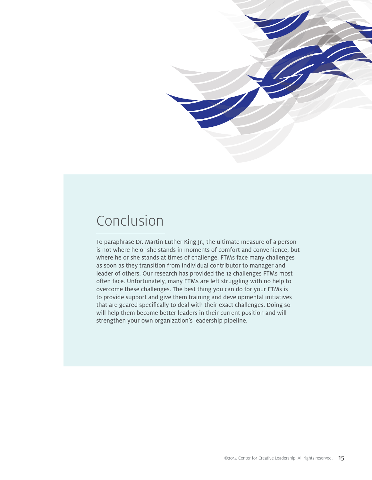

## Conclusion

To paraphrase Dr. Martin Luther King Jr., the ultimate measure of a person is not where he or she stands in moments of comfort and convenience, but where he or she stands at times of challenge. FTMs face many challenges as soon as they transition from individual contributor to manager and leader of others. Our research has provided the 12 challenges FTMs most often face. Unfortunately, many FTMs are left struggling with no help to overcome these challenges. The best thing you can do for your FTMs is to provide support and give them training and developmental initiatives that are geared specifically to deal with their exact challenges. Doing so will help them become better leaders in their current position and will strengthen your own organization's leadership pipeline.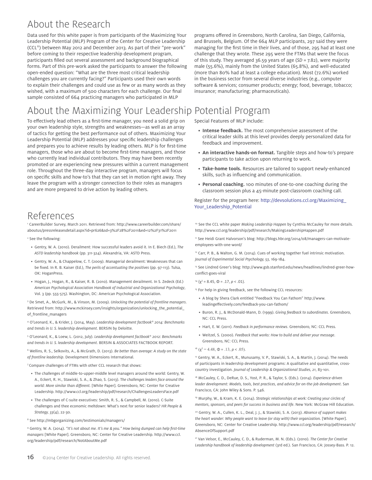## About the Research

Data used for this white paper is from participants of the Maximizing Your Leadership Potential (MLP) Program of the Center for Creative Leadership (CCL®) between May 2012 and December 2013. As part of their "pre-work" before coming to their respective leadership development program, participants filled out several assessment and background biographical forms. Part of this pre-work asked the participants to answer the following open-ended question: "What are the three most critical leadership challenges you are currently facing?" Participants used their own words to explain their challenges and could use as few or as many words as they wished, with a maximum of 500 characters for each challenge. Our final sample consisted of 664 practicing managers who participated in MLP

To effectively lead others as a first-time manager, you need a solid grip on your own leadership style, strengths and weaknesses—as well as an array of tactics for getting the best performance out of others. Maximizing Your Leadership Potential (MLP) addresses your specific leadership challenges and prepares you to achieve results by leading others. MLP is for first-time managers, those who are about to become first-time managers, and those who currently lead individual contributors. They may have been recently promoted or are experiencing new pressures within a current management role. Throughout the three-day interactive program, managers will focus on specific skills and how-to's that they can set in motion right away. They

programs offered in Greensboro, North Carolina, San Diego, California, and Brussels, Belgium. Of the 664 MLP participants, 297 said they were managing for the first time in their lives, and of those, 295 had at least one challenge that they wrote. These 295 were the FTMs that were the focus of this study. They averaged 36.59 years of age (*SD* = 7.82), were majority male (55.6%), mainly from the United States (65.8%), and well-educated (more than 80% had at least a college education). Most (72.6%) worked in the business sector from several diverse industries (e.g., computer software & services; consumer products; energy; food, beverage, tobacco; insurance; manufacturing; pharmaceuticals).

## About the Maximizing Your Leadership Potential Program

Special Features of MLP include:

- **Intense feedback.** The most comprehensive assessment of the critical leader skills at this level provides deeply personalized data for feedback and improvement.
- **An interactive hands-on format.** Tangible steps and how-to's prepare participants to take action upon returning to work.
- **Take-home tools.** Resources are tailored to support newly-enhanced skills, such as influencing and communication.
- **Personal coaching.** 100 minutes of one-to-one coaching during the classroom session plus a 45-minute post-classroom coaching call.

Register for the program here: [http://devsolutions.ccl.org/Maximizing\\_](http://devsolutions.ccl.org/Maximizing_Your_Leadership_Potential) Your Leadership Potential

<sup>10</sup> See the CCL white paper *Making Leadership Happen* by Cynthia McCauley for more details. http://www.ccl.org/leadership/pdf/research/MakingLeadershipHappen.pdf

<sup>11</sup> See Heidi Grant Halvorson's blog: http://blogs.hbr.org/2014/08/managers-can-motivateemployees-with-one-word/

 $12$  Carr, P. B., & Walton, G. M. (2014). Cues of working together fuel intrinsic motivation. *Journal of Experimental Social Psychology, 53*, 169-184.

<sup>13</sup> See Lindred Greer's blog: http://www.gsb.stanford.edu/news/headlines/lindred-greer-howconflict-goes-viral

 $14 (x^2 = 8.45, \Phi = .17, p < .01).$ 

<sup>15</sup> For help in giving feedback, see the following CCL resources:

- A blog by Shera Clark entitled "Feedback You Can Fathom" http://www. leadingeffectively.com/feedback-you-can-fathom/
- Buron, R. J., & McDonald-Mann, D. (1999). *Giving feedback to subordinates*. Greensboro, NC: CCL Press.
- Hart, E. W. (2011). *Feedback in performance reviews*. Greensboro, NC: CCL Press.
- Weitzel, S. (2000). *Feedback that works: How to build and deliver your message*. Greensboro, NC: CCL Press.

<sup>17</sup> Gentry, W. A., Eckert, R., Munusamy, V. P., Stawiski, S. A., & Martin, J. (2014). The needs of participants in leadership development programs: A qualitative and quantitative, crosscountry investigation. *Journal of Leadership* & *Organizational Studies, 21*, 83-101.

18 McCauley, C. D., DeRue, D. S., Yost, P. R., & Taylor, S. (Eds.). (2014). *Experience-driven leader development: Models, tools, best practices, and advice for on-the-job development*. San Francisco, CA: John Wiley & Sons. P. 546.

19 Murphy, W., & Kram, K. E. (2014). *Strategic relationships at work: Creating your circles of mentors, sponsors, and peers for success in business and life*. New York: McGraw Hill Education.

20 Gentry, W. A., Cullen, K. L., Deal, J. J., & Stawiski, S. A. (2013). *Absence of support makes the heart wander: Why people want to leave (or stay with) their organization.* [White Paper]. Greensboro, NC: Center for Creative Leadership. http://www.ccl.org/leadership/pdf/research/ AbsenceOfSupport.pdf

21 Van Velsor, E., McCauley, C. D., & Ruderman, M. N. (Eds.). (2010). *The Center for Creative Leadership handbook of leadership development* (3rd ed.). San Francisco, CA: Jossey-Bass. P. 12.

#### leave the program with a stronger connection to their roles as managers and are more prepared to drive action by leading others.

### References

1 CareerBuilder Survey, March 2011. Retrieved from: http://www.careerbuilder.com/share/ aboutus/pressreleasesdetail.aspx?id=pr626&sd=3%2F28%2F2011&ed=12%2F31%2F2011

2 See the following:

- Gentry, W. A. (2010). Derailment: How successful leaders avoid it. In E. Biech (Ed.), *The ASTD leadership handbook* (pp. 311-324). Alexandria, VA: ASTD Press.
- Gentry, W. A., & Chappelow, C. T. (2009). Managerial derailment: Weaknesses that can be fixed. In R. B. Kaiser (Ed.), *The perils of accentuating the positives* (pp. 97-113). Tulsa, OK: HoganPress.
- Hogan, J., Hogan, R., & Kaiser, R. B. (2010). Management derailment. In S. Zedeck (Ed.) *American Psychological Association Handbook of Industrial and Organizational Psychology*, Vol. 3 (pp. 555-575). Washington, DC: American Psychological Association.

3 De Smet, A., McGurk, M., & Vinson, M. (2009). *Unlocking the potential of frontline managers*. Retrieved from: http://www.mckinsey.com/insights/organization/unlocking\_the\_potential\_ of\_frontline\_managers

4 O'Leonard, K., & Krider, J. (2014, May). *Leadership development factbook® 2014: Benchmarks and trends in U. S. leadership development*. BERSIN by Deloitte.

5 O'Leonard, K., & Loew, L. (2012, July). *Leadership development factbook® 2012: Benchmarks and trends in U. S. leadership development*. BERSIN & ASSOCIATES FACTBOOK REPORT.

6 Wellins, R. S., Selkovits, A., & McGrath, D. (2013). *Be better than average: A study on the state of frontline leadership*. Development Dimensions International.

7 Compare challenges of FTMs with other CCL research that shows:

- The challenges of middle-to-upper-middle level managers around the world: Gentry, W. A., Eckert, R. H., Stawiski, S. A., & Zhao, S. (2013). T*he challenges leaders face around the world: More similar than different.* [White Paper]. Greensboro, NC: Center for Creative Leadership. http://www.ccl.org/leadership/pdf/research/ChallengesLeadersFace.pdf
- The challenges of C-suite executives: Smith, R. S., & Campbell, M. (2010). C-Suite challenges and thee economic meltdown: What's next for senior leaders? *HR People* & *Strategy, 33*(4), 22-30.

8 See http://mbgorganizing.com/testimonials/managers/

9 Gentry, W. A. (2014). *"It's not about me. It's me* & *you." How being dumped can help first-time managers* [White Paper]. Greensboro, NC: Center for Creative Leadership. http://www.ccl. org/leadership/pdf/research/NotAboutMe.pdf

<sup>&</sup>lt;sup>16</sup> ( $χ² = 4.48$ ,  $Φ = .13$ ,  $p < .05$ ).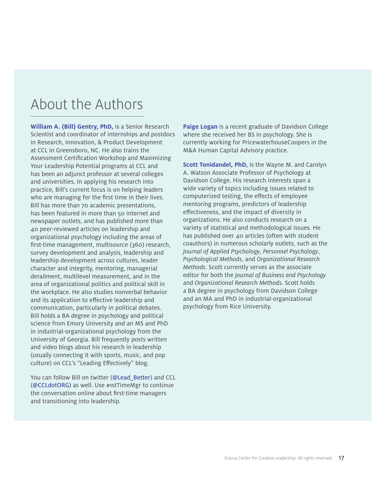## About the Authors

**William A. (Bill) Gentry, PhD,** is a Senior Research Scientist and coordinator of internships and postdocs in Research, Innovation, & Product Development at CCL in Greensboro, NC. He also trains the Assessment Certification Workshop and Maximizing Your Leadership Potential programs at CCL and has been an adjunct professor at several colleges and universities. In applying his research into practice, Bill's current focus is on helping leaders who are managing for the first time in their lives. Bill has more than 70 academic presentations, has been featured in more than 50 internet and newspaper outlets, and has published more than 40 peer-reviewed articles on leadership and organizational psychology including the areas of first-time management, multisource (360) research, survey development and analysis, leadership and leadership development across cultures, leader character and integrity, mentoring, managerial derailment, multilevel measurement, and in the area of organizational politics and political skill in the workplace. He also studies nonverbal behavior and its application to effective leadership and communication, particularly in political debates. Bill holds a BA degree in psychology and political science from Emory University and an MS and PhD in industrial-organizational psychology from the University of Georgia. Bill frequently posts written and video blogs about his research in leadership (usually connecting it with sports, music, and pop culture) on CCL's "Leading Effectively" blog.

You can follow Bill on twitter [\(@Lead\\_Better](https://twitter.com/Lead_Better)) and CCL ([@CCLdotORG\)](https://twitter.com/CCLdotORG) as well. Use [#1stTimeMgr](https://twitter.com/search?f=realtime&q=%231stTimeMgr&src=typd) to continue the conversation online about first-time managers and transitioning into leadership.

**Paige Logan** is a recent graduate of Davidson College where she received her BS in psychology. She is currently working for PricewaterhouseCoopers in the M&A Human Capital Advisory practice.

**Scott Tonidandel, PhD,** is the Wayne M. and Carolyn A. Watson Associate Professor of Psychology at Davidson College. His research interests span a wide variety of topics including issues related to computerized testing, the effects of employee mentoring programs, predictors of leadership effectiveness, and the impact of diversity in organizations. He also conducts research on a variety of statistical and methodological issues. He has published over 40 articles (often with student coauthors) in numerous scholarly outlets, such as the *Journal of Applied Psychology*, *Personnel Psychology*, *Psychological Methods*, and *Organizational Research Methods*. Scott currently serves as the associate editor for both the *Journal of Business and Psychology* and *Organizational Research Methods*. Scott holds a BA degree in psychology from Davidson College and an MA and PhD in industrial-organizational psychology from Rice University.